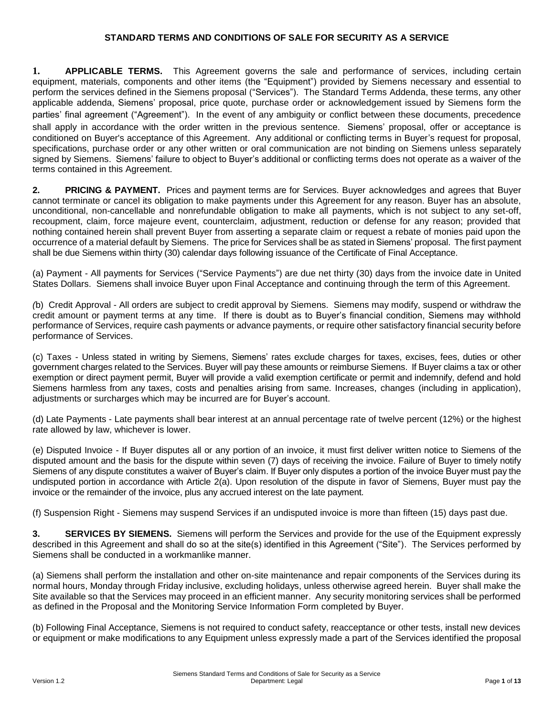### **STANDARD TERMS AND CONDITIONS OF SALE FOR SECURITY AS A SERVICE**

**1. APPLICABLE TERMS.** This Agreement governs the sale and performance of services, including certain equipment, materials, components and other items (the "Equipment") provided by Siemens necessary and essential to perform the services defined in the Siemens proposal ("Services"). The Standard Terms Addenda, these terms, any other applicable addenda, Siemens' proposal, price quote, purchase order or acknowledgement issued by Siemens form the parties' final agreement ("Agreement"). In the event of any ambiguity or conflict between these documents, precedence shall apply in accordance with the order written in the previous sentence. Siemens' proposal, offer or acceptance is conditioned on Buyer's acceptance of this Agreement. Any additional or conflicting terms in Buyer's request for proposal, specifications, purchase order or any other written or oral communication are not binding on Siemens unless separately signed by Siemens. Siemens' failure to object to Buyer's additional or conflicting terms does not operate as a waiver of the terms contained in this Agreement.

**2. PRICING & PAYMENT.** Prices and payment terms are for Services. Buyer acknowledges and agrees that Buyer cannot terminate or cancel its obligation to make payments under this Agreement for any reason. Buyer has an absolute, unconditional, non-cancellable and nonrefundable obligation to make all payments, which is not subject to any set-off, recoupment, claim, force majeure event, counterclaim, adjustment, reduction or defense for any reason; provided that nothing contained herein shall prevent Buyer from asserting a separate claim or request a rebate of monies paid upon the occurrence of a material default by Siemens. The price for Services shall be as stated in Siemens' proposal. The first payment shall be due Siemens within thirty (30) calendar days following issuance of the Certificate of Final Acceptance.

(a) Payment - All payments for Services ("Service Payments") are due net thirty (30) days from the invoice date in United States Dollars. Siemens shall invoice Buyer upon Final Acceptance and continuing through the term of this Agreement.

*(*b) Credit Approval - All orders are subject to credit approval by Siemens. Siemens may modify, suspend or withdraw the credit amount or payment terms at any time. If there is doubt as to Buyer's financial condition, Siemens may withhold performance of Services, require cash payments or advance payments, or require other satisfactory financial security before performance of Services.

(c) Taxes - Unless stated in writing by Siemens, Siemens' rates exclude charges for taxes, excises, fees, duties or other government charges related to the Services. Buyer will pay these amounts or reimburse Siemens. If Buyer claims a tax or other exemption or direct payment permit, Buyer will provide a valid exemption certificate or permit and indemnify, defend and hold Siemens harmless from any taxes, costs and penalties arising from same. Increases, changes (including in application), adjustments or surcharges which may be incurred are for Buyer's account.

(d) Late Payments - Late payments shall bear interest at an annual percentage rate of twelve percent (12%) or the highest rate allowed by law, whichever is lower.

(e) Disputed Invoice - If Buyer disputes all or any portion of an invoice, it must first deliver written notice to Siemens of the disputed amount and the basis for the dispute within seven (7) days of receiving the invoice. Failure of Buyer to timely notify Siemens of any dispute constitutes a waiver of Buyer's claim. If Buyer only disputes a portion of the invoice Buyer must pay the undisputed portion in accordance with Article 2(a). Upon resolution of the dispute in favor of Siemens, Buyer must pay the invoice or the remainder of the invoice, plus any accrued interest on the late payment.

(f) Suspension Right - Siemens may suspend Services if an undisputed invoice is more than fifteen (15) days past due.

**3. SERVICES BY SIEMENS.** Siemens will perform the Services and provide for the use of the Equipment expressly described in this Agreement and shall do so at the site(s) identified in this Agreement ("Site"). The Services performed by Siemens shall be conducted in a workmanlike manner.

(a) Siemens shall perform the installation and other on-site maintenance and repair components of the Services during its normal hours, Monday through Friday inclusive, excluding holidays, unless otherwise agreed herein. Buyer shall make the Site available so that the Services may proceed in an efficient manner. Any security monitoring services shall be performed as defined in the Proposal and the Monitoring Service Information Form completed by Buyer.

(b) Following Final Acceptance, Siemens is not required to conduct safety, reacceptance or other tests, install new devices or equipment or make modifications to any Equipment unless expressly made a part of the Services identified the proposal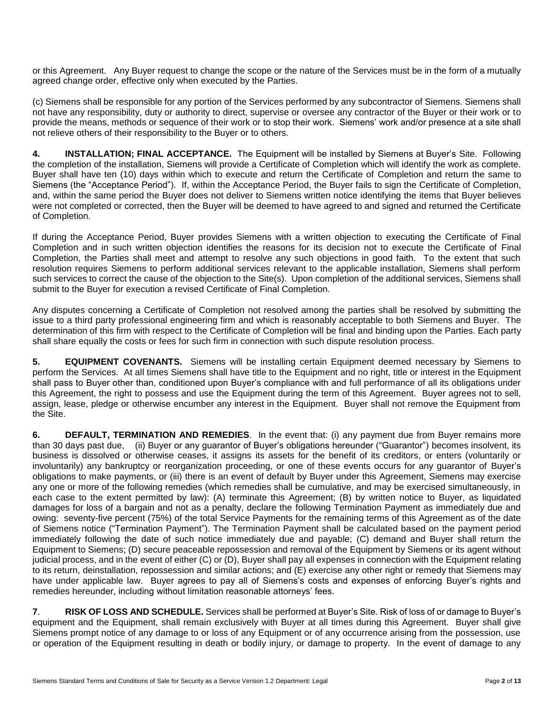or this Agreement. Any Buyer request to change the scope or the nature of the Services must be in the form of a mutually agreed change order, effective only when executed by the Parties.

(c) Siemens shall be responsible for any portion of the Services performed by any subcontractor of Siemens. Siemens shall not have any responsibility, duty or authority to direct, supervise or oversee any contractor of the Buyer or their work or to provide the means, methods or sequence of their work or to stop their work. Siemens' work and/or presence at a site shall not relieve others of their responsibility to the Buyer or to others.

**4. INSTALLATION; FINAL ACCEPTANCE.** The Equipment will be installed by Siemens at Buyer's Site. Following the completion of the installation, Siemens will provide a Certificate of Completion which will identify the work as complete. Buyer shall have ten (10) days within which to execute and return the Certificate of Completion and return the same to Siemens (the "Acceptance Period"). If, within the Acceptance Period, the Buyer fails to sign the Certificate of Completion, and, within the same period the Buyer does not deliver to Siemens written notice identifying the items that Buyer believes were not completed or corrected, then the Buyer will be deemed to have agreed to and signed and returned the Certificate of Completion.

If during the Acceptance Period, Buyer provides Siemens with a written objection to executing the Certificate of Final Completion and in such written objection identifies the reasons for its decision not to execute the Certificate of Final Completion, the Parties shall meet and attempt to resolve any such objections in good faith. To the extent that such resolution requires Siemens to perform additional services relevant to the applicable installation, Siemens shall perform such services to correct the cause of the objection to the Site(s). Upon completion of the additional services, Siemens shall submit to the Buyer for execution a revised Certificate of Final Completion.

Any disputes concerning a Certificate of Completion not resolved among the parties shall be resolved by submitting the issue to a third party professional engineering firm and which is reasonably acceptable to both Siemens and Buyer. The determination of this firm with respect to the Certificate of Completion will be final and binding upon the Parties. Each party shall share equally the costs or fees for such firm in connection with such dispute resolution process.

**5. EQUIPMENT COVENANTS.** Siemens will be installing certain Equipment deemed necessary by Siemens to perform the Services. At all times Siemens shall have title to the Equipment and no right, title or interest in the Equipment shall pass to Buyer other than, conditioned upon Buyer's compliance with and full performance of all its obligations under this Agreement, the right to possess and use the Equipment during the term of this Agreement. Buyer agrees not to sell, assign, lease, pledge or otherwise encumber any interest in the Equipment. Buyer shall not remove the Equipment from the Site.

**6. DEFAULT, TERMINATION AND REMEDIES**. In the event that: (i) any payment due from Buyer remains more than 30 days past due, (ii) Buyer or any guarantor of Buyer's obligations hereunder ("Guarantor") becomes insolvent, its business is dissolved or otherwise ceases, it assigns its assets for the benefit of its creditors, or enters (voluntarily or involuntarily) any bankruptcy or reorganization proceeding, or one of these events occurs for any guarantor of Buyer's obligations to make payments, or (iii) there is an event of default by Buyer under this Agreement, Siemens may exercise any one or more of the following remedies (which remedies shall be cumulative, and may be exercised simultaneously, in each case to the extent permitted by law): (A) terminate this Agreement; (B) by written notice to Buyer, as liquidated damages for loss of a bargain and not as a penalty, declare the following Termination Payment as immediately due and owing: seventy-five percent (75%) of the total Service Payments for the remaining terms of this Agreement as of the date of Siemens notice ("Termination Payment"). The Termination Payment shall be calculated based on the payment period immediately following the date of such notice immediately due and payable; (C) demand and Buyer shall return the Equipment to Siemens; (D) secure peaceable repossession and removal of the Equipment by Siemens or its agent without judicial process, and in the event of either (C) or (D), Buyer shall pay all expenses in connection with the Equipment relating to its return, deinstallation, repossession and similar actions; and (E) exercise any other right or remedy that Siemens may have under applicable law. Buyer agrees to pay all of Siemens's costs and expenses of enforcing Buyer's rights and remedies hereunder, including without limitation reasonable attorneys' fees.

**7**. **RISK OF LOSS AND SCHEDULE.** Services shall be performed at Buyer's Site. Risk of loss of or damage to Buyer's equipment and the Equipment, shall remain exclusively with Buyer at all times during this Agreement. Buyer shall give Siemens prompt notice of any damage to or loss of any Equipment or of any occurrence arising from the possession, use or operation of the Equipment resulting in death or bodily injury, or damage to property. In the event of damage to any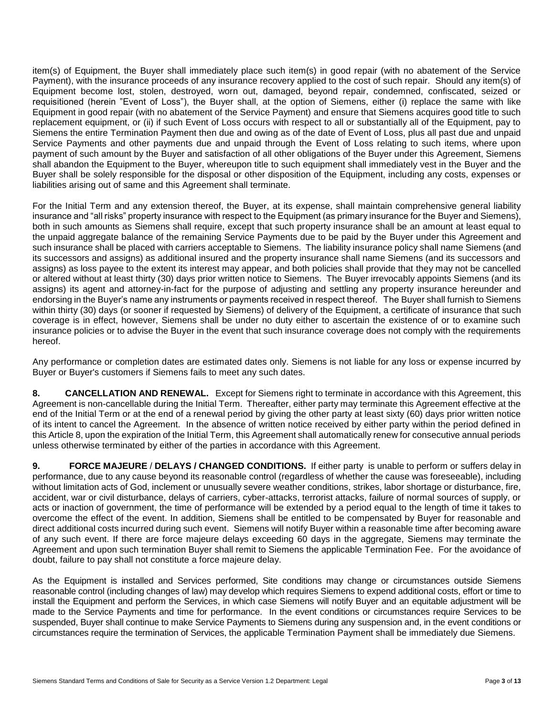item(s) of Equipment, the Buyer shall immediately place such item(s) in good repair (with no abatement of the Service Payment), with the insurance proceeds of any insurance recovery applied to the cost of such repair. Should any item(s) of Equipment become lost, stolen, destroyed, worn out, damaged, beyond repair, condemned, confiscated, seized or requisitioned (herein "Event of Loss"), the Buyer shall, at the option of Siemens, either (i) replace the same with like Equipment in good repair (with no abatement of the Service Payment) and ensure that Siemens acquires good title to such replacement equipment, or (ii) if such Event of Loss occurs with respect to all or substantially all of the Equipment, pay to Siemens the entire Termination Payment then due and owing as of the date of Event of Loss, plus all past due and unpaid Service Payments and other payments due and unpaid through the Event of Loss relating to such items, where upon payment of such amount by the Buyer and satisfaction of all other obligations of the Buyer under this Agreement, Siemens shall abandon the Equipment to the Buyer, whereupon title to such equipment shall immediately vest in the Buyer and the Buyer shall be solely responsible for the disposal or other disposition of the Equipment, including any costs, expenses or liabilities arising out of same and this Agreement shall terminate.

For the Initial Term and any extension thereof, the Buyer, at its expense, shall maintain comprehensive general liability insurance and "all risks" property insurance with respect to the Equipment (as primary insurance for the Buyer and Siemens), both in such amounts as Siemens shall require, except that such property insurance shall be an amount at least equal to the unpaid aggregate balance of the remaining Service Payments due to be paid by the Buyer under this Agreement and such insurance shall be placed with carriers acceptable to Siemens. The liability insurance policy shall name Siemens (and its successors and assigns) as additional insured and the property insurance shall name Siemens (and its successors and assigns) as loss payee to the extent its interest may appear, and both policies shall provide that they may not be cancelled or altered without at least thirty (30) days prior written notice to Siemens. The Buyer irrevocably appoints Siemens (and its assigns) its agent and attorney-in-fact for the purpose of adjusting and settling any property insurance hereunder and endorsing in the Buyer's name any instruments or payments received in respect thereof. The Buyer shall furnish to Siemens within thirty (30) days (or sooner if requested by Siemens) of delivery of the Equipment, a certificate of insurance that such coverage is in effect, however, Siemens shall be under no duty either to ascertain the existence of or to examine such insurance policies or to advise the Buyer in the event that such insurance coverage does not comply with the requirements hereof.

Any performance or completion dates are estimated dates only. Siemens is not liable for any loss or expense incurred by Buyer or Buyer's customers if Siemens fails to meet any such dates.

**8. CANCELLATION AND RENEWAL.** Except for Siemens right to terminate in accordance with this Agreement, this Agreement is non-cancellable during the Initial Term. Thereafter, either party may terminate this Agreement effective at the end of the Initial Term or at the end of a renewal period by giving the other party at least sixty (60) days prior written notice of its intent to cancel the Agreement. In the absence of written notice received by either party within the period defined in this Article 8, upon the expiration of the Initial Term, this Agreement shall automatically renew for consecutive annual periods unless otherwise terminated by either of the parties in accordance with this Agreement.

**9. FORCE MAJEURE** / **DELAYS / CHANGED CONDITIONS.** If either party is unable to perform or suffers delay in performance, due to any cause beyond its reasonable control (regardless of whether the cause was foreseeable), including without limitation acts of God, inclement or unusually severe weather conditions, strikes, labor shortage or disturbance, fire, accident, war or civil disturbance, delays of carriers, cyber-attacks, terrorist attacks, failure of normal sources of supply, or acts or inaction of government, the time of performance will be extended by a period equal to the length of time it takes to overcome the effect of the event. In addition, Siemens shall be entitled to be compensated by Buyer for reasonable and direct additional costs incurred during such event. Siemens will notify Buyer within a reasonable time after becoming aware of any such event. If there are force majeure delays exceeding 60 days in the aggregate, Siemens may terminate the Agreement and upon such termination Buyer shall remit to Siemens the applicable Termination Fee. For the avoidance of doubt, failure to pay shall not constitute a force majeure delay.

As the Equipment is installed and Services performed, Site conditions may change or circumstances outside Siemens reasonable control (including changes of law) may develop which requires Siemens to expend additional costs, effort or time to install the Equipment and perform the Services, in which case Siemens will notify Buyer and an equitable adjustment will be made to the Service Payments and time for performance. In the event conditions or circumstances require Services to be suspended, Buyer shall continue to make Service Payments to Siemens during any suspension and, in the event conditions or circumstances require the termination of Services, the applicable Termination Payment shall be immediately due Siemens.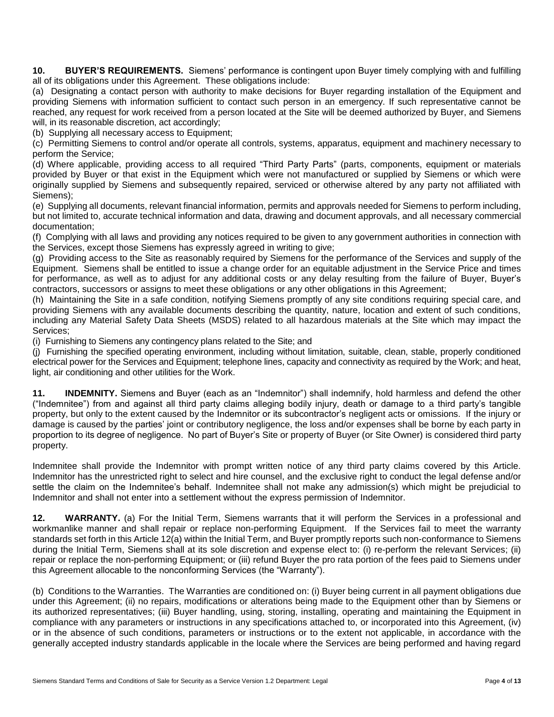**10. BUYER'S REQUIREMENTS.** Siemens' performance is contingent upon Buyer timely complying with and fulfilling all of its obligations under this Agreement. These obligations include:

(a) Designating a contact person with authority to make decisions for Buyer regarding installation of the Equipment and providing Siemens with information sufficient to contact such person in an emergency. If such representative cannot be reached, any request for work received from a person located at the Site will be deemed authorized by Buyer, and Siemens will, in its reasonable discretion, act accordingly;

(b) Supplying all necessary access to Equipment;

(c) Permitting Siemens to control and/or operate all controls, systems, apparatus, equipment and machinery necessary to perform the Service;

(d) Where applicable, providing access to all required "Third Party Parts" (parts, components, equipment or materials provided by Buyer or that exist in the Equipment which were not manufactured or supplied by Siemens or which were originally supplied by Siemens and subsequently repaired, serviced or otherwise altered by any party not affiliated with Siemens);

(e) Supplying all documents, relevant financial information, permits and approvals needed for Siemens to perform including, but not limited to, accurate technical information and data, drawing and document approvals, and all necessary commercial documentation;

(f) Complying with all laws and providing any notices required to be given to any government authorities in connection with the Services, except those Siemens has expressly agreed in writing to give;

(g) Providing access to the Site as reasonably required by Siemens for the performance of the Services and supply of the Equipment. Siemens shall be entitled to issue a change order for an equitable adjustment in the Service Price and times for performance, as well as to adjust for any additional costs or any delay resulting from the failure of Buyer, Buyer's contractors, successors or assigns to meet these obligations or any other obligations in this Agreement;

(h) Maintaining the Site in a safe condition, notifying Siemens promptly of any site conditions requiring special care, and providing Siemens with any available documents describing the quantity, nature, location and extent of such conditions, including any Material Safety Data Sheets (MSDS) related to all hazardous materials at the Site which may impact the Services;

(i) Furnishing to Siemens any contingency plans related to the Site; and

(j) Furnishing the specified operating environment, including without limitation, suitable, clean, stable, properly conditioned electrical power for the Services and Equipment; telephone lines, capacity and connectivity as required by the Work; and heat, light, air conditioning and other utilities for the Work.

**11. INDEMNITY.** Siemens and Buyer (each as an "Indemnitor") shall indemnify, hold harmless and defend the other ("Indemnitee") from and against all third party claims alleging bodily injury, death or damage to a third party's tangible property, but only to the extent caused by the Indemnitor or its subcontractor's negligent acts or omissions. If the injury or damage is caused by the parties' joint or contributory negligence, the loss and/or expenses shall be borne by each party in proportion to its degree of negligence. No part of Buyer's Site or property of Buyer (or Site Owner) is considered third party property.

Indemnitee shall provide the Indemnitor with prompt written notice of any third party claims covered by this Article. Indemnitor has the unrestricted right to select and hire counsel, and the exclusive right to conduct the legal defense and/or settle the claim on the Indemnitee's behalf. Indemnitee shall not make any admission(s) which might be prejudicial to Indemnitor and shall not enter into a settlement without the express permission of Indemnitor.

**12. WARRANTY.** (a) For the Initial Term, Siemens warrants that it will perform the Services in a professional and workmanlike manner and shall repair or replace non-performing Equipment. If the Services fail to meet the warranty standards set forth in this Article 12(a) within the Initial Term, and Buyer promptly reports such non-conformance to Siemens during the Initial Term, Siemens shall at its sole discretion and expense elect to: (i) re-perform the relevant Services; (ii) repair or replace the non-performing Equipment; or (iii) refund Buyer the pro rata portion of the fees paid to Siemens under this Agreement allocable to the nonconforming Services (the "Warranty").

(b) Conditions to the Warranties. The Warranties are conditioned on: (i) Buyer being current in all payment obligations due under this Agreement; (ii) no repairs, modifications or alterations being made to the Equipment other than by Siemens or its authorized representatives; (iii) Buyer handling, using, storing, installing, operating and maintaining the Equipment in compliance with any parameters or instructions in any specifications attached to, or incorporated into this Agreement, (iv) or in the absence of such conditions, parameters or instructions or to the extent not applicable, in accordance with the generally accepted industry standards applicable in the locale where the Services are being performed and having regard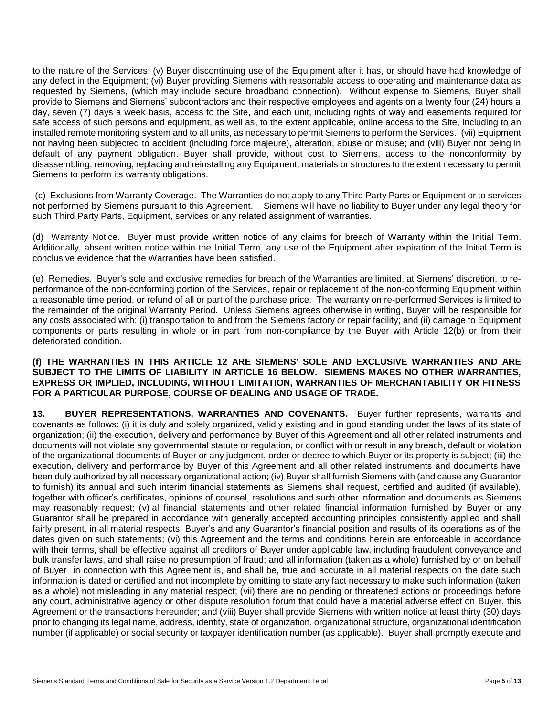to the nature of the Services; (v) Buyer discontinuing use of the Equipment after it has, or should have had knowledge of any defect in the Equipment; (vi) Buyer providing Siemens with reasonable access to operating and maintenance data as requested by Siemens, (which may include secure broadband connection). Without expense to Siemens, Buyer shall provide to Siemens and Siemens' subcontractors and their respective employees and agents on a twenty four (24) hours a day, seven (7) days a week basis, access to the Site, and each unit, including rights of way and easements required for safe access of such persons and equipment, as well as, to the extent applicable, online access to the Site, including to an installed remote monitoring system and to all units, as necessary to permit Siemens to perform the Services.; (vii) Equipment not having been subjected to accident (including force majeure), alteration, abuse or misuse; and (viii) Buyer not being in default of any payment obligation. Buyer shall provide, without cost to Siemens, access to the nonconformity by disassembling, removing, replacing and reinstalling any Equipment, materials or structures to the extent necessary to permit Siemens to perform its warranty obligations.

(c) Exclusions from Warranty Coverage. The Warranties do not apply to any Third Party Parts or Equipment or to services not performed by Siemens pursuant to this Agreement. Siemens will have no liability to Buyer under any legal theory for such Third Party Parts, Equipment, services or any related assignment of warranties.

(d) Warranty Notice. Buyer must provide written notice of any claims for breach of Warranty within the Initial Term. Additionally, absent written notice within the Initial Term, any use of the Equipment after expiration of the Initial Term is conclusive evidence that the Warranties have been satisfied.

(e) Remedies. Buyer's sole and exclusive remedies for breach of the Warranties are limited, at Siemens' discretion, to reperformance of the non-conforming portion of the Services, repair or replacement of the non-conforming Equipment within a reasonable time period, or refund of all or part of the purchase price. The warranty on re-performed Services is limited to the remainder of the original Warranty Period. Unless Siemens agrees otherwise in writing, Buyer will be responsible for any costs associated with: (i) transportation to and from the Siemens factory or repair facility; and (ii) damage to Equipment components or parts resulting in whole or in part from non-compliance by the Buyer with Article 12(b) or from their deteriorated condition.

#### **(f) THE WARRANTIES IN THIS ARTICLE 12 ARE SIEMENS' SOLE AND EXCLUSIVE WARRANTIES AND ARE SUBJECT TO THE LIMITS OF LIABILITY IN ARTICLE 16 BELOW. SIEMENS MAKES NO OTHER WARRANTIES, EXPRESS OR IMPLIED, INCLUDING, WITHOUT LIMITATION, WARRANTIES OF MERCHANTABILITY OR FITNESS FOR A PARTICULAR PURPOSE, COURSE OF DEALING AND USAGE OF TRADE.**

**13. BUYER REPRESENTATIONS, WARRANTIES AND COVENANTS.** Buyer further represents, warrants and covenants as follows: (i) it is duly and solely organized, validly existing and in good standing under the laws of its state of organization; (ii) the execution, delivery and performance by Buyer of this Agreement and all other related instruments and documents will not violate any governmental statute or regulation, or conflict with or result in any breach, default or violation of the organizational documents of Buyer or any judgment, order or decree to which Buyer or its property is subject; (iii) the execution, delivery and performance by Buyer of this Agreement and all other related instruments and documents have been duly authorized by all necessary organizational action; (iv) Buyer shall furnish Siemens with (and cause any Guarantor to furnish) its annual and such interim financial statements as Siemens shall request, certified and audited (if available), together with officer's certificates, opinions of counsel, resolutions and such other information and documents as Siemens may reasonably request; (v) all financial statements and other related financial information furnished by Buyer or any Guarantor shall be prepared in accordance with generally accepted accounting principles consistently applied and shall fairly present, in all material respects, Buyer's and any Guarantor's financial position and results of its operations as of the dates given on such statements; (vi) this Agreement and the terms and conditions herein are enforceable in accordance with their terms, shall be effective against all creditors of Buyer under applicable law, including fraudulent conveyance and bulk transfer laws, and shall raise no presumption of fraud; and all information (taken as a whole) furnished by or on behalf of Buyer in connection with this Agreement is, and shall be, true and accurate in all material respects on the date such information is dated or certified and not incomplete by omitting to state any fact necessary to make such information (taken as a whole) not misleading in any material respect; (vii) there are no pending or threatened actions or proceedings before any court, administrative agency or other dispute resolution forum that could have a material adverse effect on Buyer, this Agreement or the transactions hereunder; and (viii) Buyer shall provide Siemens with written notice at least thirty (30) days prior to changing its legal name, address, identity, state of organization, organizational structure, organizational identification number (if applicable) or social security or taxpayer identification number (as applicable). Buyer shall promptly execute and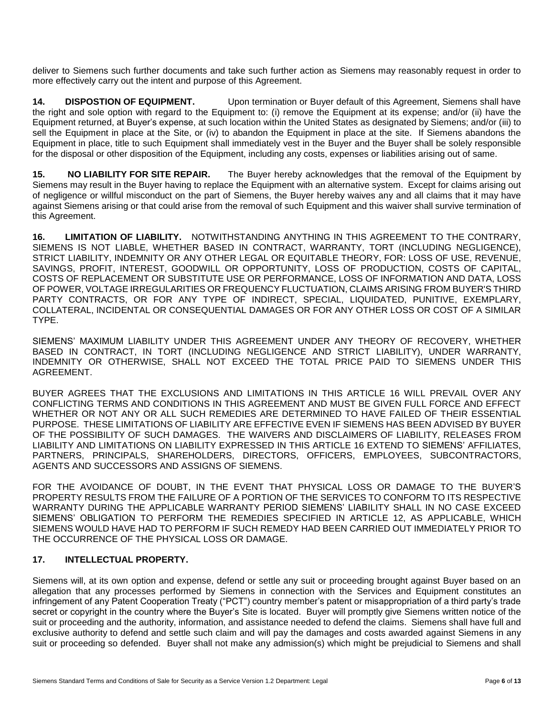deliver to Siemens such further documents and take such further action as Siemens may reasonably request in order to more effectively carry out the intent and purpose of this Agreement.

**14. DISPOSTION OF EQUIPMENT.** Upon termination or Buyer default of this Agreement, Siemens shall have the right and sole option with regard to the Equipment to: (i) remove the Equipment at its expense; and/or (ii) have the Equipment returned, at Buyer's expense, at such location within the United States as designated by Siemens; and/or (iii) to sell the Equipment in place at the Site, or (iv) to abandon the Equipment in place at the site. If Siemens abandons the Equipment in place, title to such Equipment shall immediately vest in the Buyer and the Buyer shall be solely responsible for the disposal or other disposition of the Equipment, including any costs, expenses or liabilities arising out of same.

**15. NO LIABILITY FOR SITE REPAIR.** The Buyer hereby acknowledges that the removal of the Equipment by Siemens may result in the Buyer having to replace the Equipment with an alternative system. Except for claims arising out of negligence or willful misconduct on the part of Siemens, the Buyer hereby waives any and all claims that it may have against Siemens arising or that could arise from the removal of such Equipment and this waiver shall survive termination of this Agreement.

**16. LIMITATION OF LIABILITY.** NOTWITHSTANDING ANYTHING IN THIS AGREEMENT TO THE CONTRARY, SIEMENS IS NOT LIABLE, WHETHER BASED IN CONTRACT, WARRANTY, TORT (INCLUDING NEGLIGENCE), STRICT LIABILITY, INDEMNITY OR ANY OTHER LEGAL OR EQUITABLE THEORY, FOR: LOSS OF USE, REVENUE, SAVINGS, PROFIT, INTEREST, GOODWILL OR OPPORTUNITY, LOSS OF PRODUCTION, COSTS OF CAPITAL, COSTS OF REPLACEMENT OR SUBSTITUTE USE OR PERFORMANCE, LOSS OF INFORMATION AND DATA, LOSS OF POWER, VOLTAGE IRREGULARITIES OR FREQUENCY FLUCTUATION, CLAIMS ARISING FROM BUYER'S THIRD PARTY CONTRACTS, OR FOR ANY TYPE OF INDIRECT, SPECIAL, LIQUIDATED, PUNITIVE, EXEMPLARY, COLLATERAL, INCIDENTAL OR CONSEQUENTIAL DAMAGES OR FOR ANY OTHER LOSS OR COST OF A SIMILAR TYPE.

SIEMENS' MAXIMUM LIABILITY UNDER THIS AGREEMENT UNDER ANY THEORY OF RECOVERY, WHETHER BASED IN CONTRACT, IN TORT (INCLUDING NEGLIGENCE AND STRICT LIABILITY), UNDER WARRANTY, INDEMNITY OR OTHERWISE, SHALL NOT EXCEED THE TOTAL PRICE PAID TO SIEMENS UNDER THIS AGREEMENT.

BUYER AGREES THAT THE EXCLUSIONS AND LIMITATIONS IN THIS ARTICLE 16 WILL PREVAIL OVER ANY CONFLICTING TERMS AND CONDITIONS IN THIS AGREEMENT AND MUST BE GIVEN FULL FORCE AND EFFECT WHETHER OR NOT ANY OR ALL SUCH REMEDIES ARE DETERMINED TO HAVE FAILED OF THEIR ESSENTIAL PURPOSE. THESE LIMITATIONS OF LIABILITY ARE EFFECTIVE EVEN IF SIEMENS HAS BEEN ADVISED BY BUYER OF THE POSSIBILITY OF SUCH DAMAGES. THE WAIVERS AND DISCLAIMERS OF LIABILITY, RELEASES FROM LIABILITY AND LIMITATIONS ON LIABILITY EXPRESSED IN THIS ARTICLE 16 EXTEND TO SIEMENS' AFFILIATES, PARTNERS, PRINCIPALS, SHAREHOLDERS, DIRECTORS, OFFICERS, EMPLOYEES, SUBCONTRACTORS, AGENTS AND SUCCESSORS AND ASSIGNS OF SIEMENS.

FOR THE AVOIDANCE OF DOUBT, IN THE EVENT THAT PHYSICAL LOSS OR DAMAGE TO THE BUYER'S PROPERTY RESULTS FROM THE FAILURE OF A PORTION OF THE SERVICES TO CONFORM TO ITS RESPECTIVE WARRANTY DURING THE APPLICABLE WARRANTY PERIOD SIEMENS' LIABILITY SHALL IN NO CASE EXCEED SIEMENS' OBLIGATION TO PERFORM THE REMEDIES SPECIFIED IN ARTICLE 12, AS APPLICABLE, WHICH SIEMENS WOULD HAVE HAD TO PERFORM IF SUCH REMEDY HAD BEEN CARRIED OUT IMMEDIATELY PRIOR TO THE OCCURRENCE OF THE PHYSICAL LOSS OR DAMAGE.

# **17. INTELLECTUAL PROPERTY.**

Siemens will, at its own option and expense, defend or settle any suit or proceeding brought against Buyer based on an allegation that any processes performed by Siemens in connection with the Services and Equipment constitutes an infringement of any Patent Cooperation Treaty ("PCT") country member's patent or misappropriation of a third party's trade secret or copyright in the country where the Buyer's Site is located. Buyer will promptly give Siemens written notice of the suit or proceeding and the authority, information, and assistance needed to defend the claims. Siemens shall have full and exclusive authority to defend and settle such claim and will pay the damages and costs awarded against Siemens in any suit or proceeding so defended. Buyer shall not make any admission(s) which might be prejudicial to Siemens and shall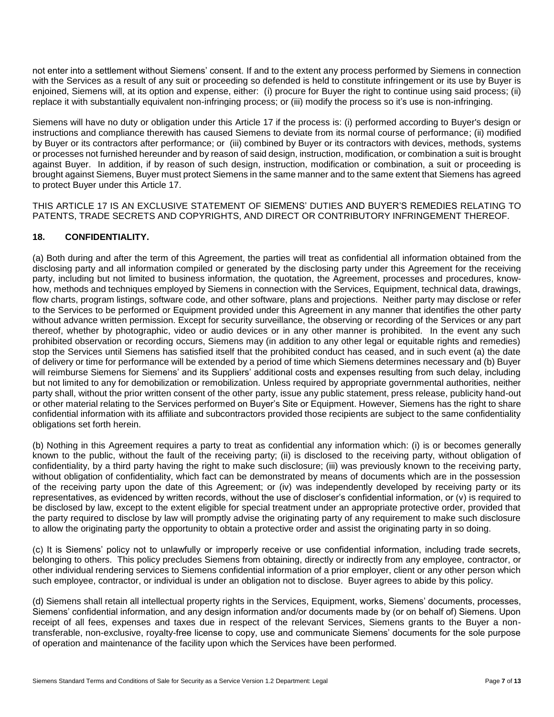not enter into a settlement without Siemens' consent. If and to the extent any process performed by Siemens in connection with the Services as a result of any suit or proceeding so defended is held to constitute infringement or its use by Buyer is enjoined, Siemens will, at its option and expense, either: (i) procure for Buyer the right to continue using said process; (ii) replace it with substantially equivalent non-infringing process; or (iii) modify the process so it's use is non-infringing.

Siemens will have no duty or obligation under this Article 17 if the process is: (i) performed according to Buyer's design or instructions and compliance therewith has caused Siemens to deviate from its normal course of performance; (ii) modified by Buyer or its contractors after performance; or (iii) combined by Buyer or its contractors with devices, methods, systems or processes not furnished hereunder and by reason of said design, instruction, modification, or combination a suit is brought against Buyer. In addition, if by reason of such design, instruction, modification or combination, a suit or proceeding is brought against Siemens, Buyer must protect Siemens in the same manner and to the same extent that Siemens has agreed to protect Buyer under this Article 17.

THIS ARTICLE 17 IS AN EXCLUSIVE STATEMENT OF SIEMENS' DUTIES AND BUYER'S REMEDIES RELATING TO PATENTS, TRADE SECRETS AND COPYRIGHTS, AND DIRECT OR CONTRIBUTORY INFRINGEMENT THEREOF.

# **18. CONFIDENTIALITY.**

(a) Both during and after the term of this Agreement, the parties will treat as confidential all information obtained from the disclosing party and all information compiled or generated by the disclosing party under this Agreement for the receiving party, including but not limited to business information, the quotation, the Agreement, processes and procedures, knowhow, methods and techniques employed by Siemens in connection with the Services, Equipment, technical data, drawings, flow charts, program listings, software code, and other software, plans and projections. Neither party may disclose or refer to the Services to be performed or Equipment provided under this Agreement in any manner that identifies the other party without advance written permission. Except for security surveillance, the observing or recording of the Services or any part thereof, whether by photographic, video or audio devices or in any other manner is prohibited. In the event any such prohibited observation or recording occurs, Siemens may (in addition to any other legal or equitable rights and remedies) stop the Services until Siemens has satisfied itself that the prohibited conduct has ceased, and in such event (a) the date of delivery or time for performance will be extended by a period of time which Siemens determines necessary and (b) Buyer will reimburse Siemens for Siemens' and its Suppliers' additional costs and expenses resulting from such delay, including but not limited to any for demobilization or remobilization. Unless required by appropriate governmental authorities, neither party shall, without the prior written consent of the other party, issue any public statement, press release, publicity hand-out or other material relating to the Services performed on Buyer's Site or Equipment. However, Siemens has the right to share confidential information with its affiliate and subcontractors provided those recipients are subject to the same confidentiality obligations set forth herein.

(b) Nothing in this Agreement requires a party to treat as confidential any information which: (i) is or becomes generally known to the public, without the fault of the receiving party; (ii) is disclosed to the receiving party, without obligation of confidentiality, by a third party having the right to make such disclosure; (iii) was previously known to the receiving party, without obligation of confidentiality, which fact can be demonstrated by means of documents which are in the possession of the receiving party upon the date of this Agreement; or (iv) was independently developed by receiving party or its representatives, as evidenced by written records, without the use of discloser's confidential information, or (v) is required to be disclosed by law, except to the extent eligible for special treatment under an appropriate protective order, provided that the party required to disclose by law will promptly advise the originating party of any requirement to make such disclosure to allow the originating party the opportunity to obtain a protective order and assist the originating party in so doing.

(c) It is Siemens' policy not to unlawfully or improperly receive or use confidential information, including trade secrets, belonging to others. This policy precludes Siemens from obtaining, directly or indirectly from any employee, contractor, or other individual rendering services to Siemens confidential information of a prior employer, client or any other person which such employee, contractor, or individual is under an obligation not to disclose. Buyer agrees to abide by this policy.

(d) Siemens shall retain all intellectual property rights in the Services, Equipment, works, Siemens' documents, processes, Siemens' confidential information, and any design information and/or documents made by (or on behalf of) Siemens. Upon receipt of all fees, expenses and taxes due in respect of the relevant Services, Siemens grants to the Buyer a nontransferable, non-exclusive, royalty-free license to copy, use and communicate Siemens' documents for the sole purpose of operation and maintenance of the facility upon which the Services have been performed.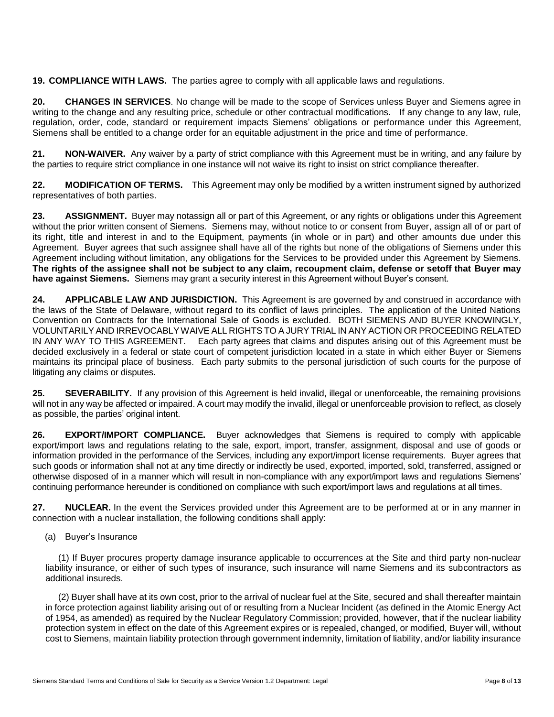**19. COMPLIANCE WITH LAWS.** The parties agree to comply with all applicable laws and regulations.

**20. CHANGES IN SERVICES**. No change will be made to the scope of Services unless Buyer and Siemens agree in writing to the change and any resulting price, schedule or other contractual modifications. If any change to any law, rule, regulation, order, code, standard or requirement impacts Siemens' obligations or performance under this Agreement, Siemens shall be entitled to a change order for an equitable adjustment in the price and time of performance.

**21. NON-WAIVER.** Any waiver by a party of strict compliance with this Agreement must be in writing, and any failure by the parties to require strict compliance in one instance will not waive its right to insist on strict compliance thereafter.

**22. MODIFICATION OF TERMS.** This Agreement may only be modified by a written instrument signed by authorized representatives of both parties.

**23. ASSIGNMENT.** Buyer may notassign all or part of this Agreement, or any rights or obligations under this Agreement without the prior written consent of Siemens. Siemens may, without notice to or consent from Buyer, assign all of or part of its right, title and interest in and to the Equipment, payments (in whole or in part) and other amounts due under this Agreement. Buyer agrees that such assignee shall have all of the rights but none of the obligations of Siemens under this Agreement including without limitation, any obligations for the Services to be provided under this Agreement by Siemens. **The rights of the assignee shall not be subject to any claim, recoupment claim, defense or setoff that Buyer may have against Siemens.** Siemens may grant a security interest in this Agreement without Buyer's consent.

**24. APPLICABLE LAW AND JURISDICTION.** This Agreement is are governed by and construed in accordance with the laws of the State of Delaware, without regard to its conflict of laws principles. The application of the United Nations Convention on Contracts for the International Sale of Goods is excluded. BOTH SIEMENS AND BUYER KNOWINGLY, VOLUNTARILY AND IRREVOCABLY WAIVE ALL RIGHTS TO A JURY TRIAL IN ANY ACTION OR PROCEEDING RELATED IN ANY WAY TO THIS AGREEMENT. Each party agrees that claims and disputes arising out of this Agreement must be decided exclusively in a federal or state court of competent jurisdiction located in a state in which either Buyer or Siemens maintains its principal place of business. Each party submits to the personal jurisdiction of such courts for the purpose of litigating any claims or disputes.

**25. SEVERABILITY.** If any provision of this Agreement is held invalid, illegal or unenforceable, the remaining provisions will not in any way be affected or impaired. A court may modify the invalid, illegal or unenforceable provision to reflect, as closely as possible, the parties' original intent.

**26. EXPORT/IMPORT COMPLIANCE.** Buyer acknowledges that Siemens is required to comply with applicable export/import laws and regulations relating to the sale, export, import, transfer, assignment, disposal and use of goods or information provided in the performance of the Services, including any export/import license requirements. Buyer agrees that such goods or information shall not at any time directly or indirectly be used, exported, imported, sold, transferred, assigned or otherwise disposed of in a manner which will result in non-compliance with any export/import laws and regulations Siemens' continuing performance hereunder is conditioned on compliance with such export/import laws and regulations at all times.

**27. NUCLEAR.** In the event the Services provided under this Agreement are to be performed at or in any manner in connection with a nuclear installation, the following conditions shall apply:

# (a) Buyer's Insurance

(1) If Buyer procures property damage insurance applicable to occurrences at the Site and third party non-nuclear liability insurance, or either of such types of insurance, such insurance will name Siemens and its subcontractors as additional insureds.

(2) Buyer shall have at its own cost, prior to the arrival of nuclear fuel at the Site, secured and shall thereafter maintain in force protection against liability arising out of or resulting from a Nuclear Incident (as defined in the Atomic Energy Act of 1954, as amended) as required by the Nuclear Regulatory Commission; provided, however, that if the nuclear liability protection system in effect on the date of this Agreement expires or is repealed, changed, or modified, Buyer will, without cost to Siemens, maintain liability protection through government indemnity, limitation of liability, and/or liability insurance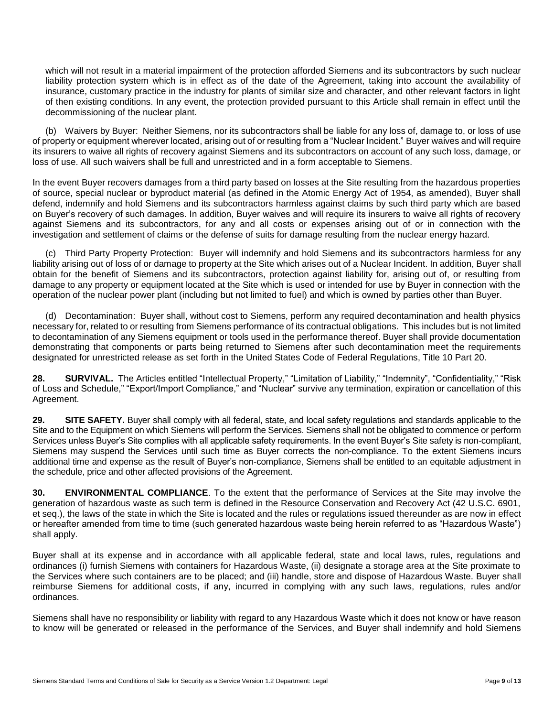which will not result in a material impairment of the protection afforded Siemens and its subcontractors by such nuclear liability protection system which is in effect as of the date of the Agreement, taking into account the availability of insurance, customary practice in the industry for plants of similar size and character, and other relevant factors in light of then existing conditions. In any event, the protection provided pursuant to this Article shall remain in effect until the decommissioning of the nuclear plant.

(b) Waivers by Buyer: Neither Siemens, nor its subcontractors shall be liable for any loss of, damage to, or loss of use of property or equipment wherever located, arising out of or resulting from a "Nuclear Incident." Buyer waives and will require its insurers to waive all rights of recovery against Siemens and its subcontractors on account of any such loss, damage, or loss of use. All such waivers shall be full and unrestricted and in a form acceptable to Siemens.

In the event Buyer recovers damages from a third party based on losses at the Site resulting from the hazardous properties of source, special nuclear or byproduct material (as defined in the Atomic Energy Act of 1954, as amended), Buyer shall defend, indemnify and hold Siemens and its subcontractors harmless against claims by such third party which are based on Buyer's recovery of such damages. In addition, Buyer waives and will require its insurers to waive all rights of recovery against Siemens and its subcontractors, for any and all costs or expenses arising out of or in connection with the investigation and settlement of claims or the defense of suits for damage resulting from the nuclear energy hazard.

(c) Third Party Property Protection: Buyer will indemnify and hold Siemens and its subcontractors harmless for any liability arising out of loss of or damage to property at the Site which arises out of a Nuclear Incident. In addition, Buyer shall obtain for the benefit of Siemens and its subcontractors, protection against liability for, arising out of, or resulting from damage to any property or equipment located at the Site which is used or intended for use by Buyer in connection with the operation of the nuclear power plant (including but not limited to fuel) and which is owned by parties other than Buyer.

(d) Decontamination: Buyer shall, without cost to Siemens, perform any required decontamination and health physics necessary for, related to or resulting from Siemens performance of its contractual obligations. This includes but is not limited to decontamination of any Siemens equipment or tools used in the performance thereof. Buyer shall provide documentation demonstrating that components or parts being returned to Siemens after such decontamination meet the requirements designated for unrestricted release as set forth in the United States Code of Federal Regulations, Title 10 Part 20.

28. SURVIVAL. The Articles entitled "Intellectual Property," "Limitation of Liability," "Indemnity", "Confidentiality," "Risk of Loss and Schedule," "Export/Import Compliance," and "Nuclear" survive any termination, expiration or cancellation of this Agreement.

**29. SITE SAFETY.** Buyer shall comply with all federal, state, and local safety regulations and standards applicable to the Site and to the Equipment on which Siemens will perform the Services. Siemens shall not be obligated to commence or perform Services unless Buyer's Site complies with all applicable safety requirements. In the event Buyer's Site safety is non-compliant, Siemens may suspend the Services until such time as Buyer corrects the non-compliance. To the extent Siemens incurs additional time and expense as the result of Buyer's non-compliance, Siemens shall be entitled to an equitable adjustment in the schedule, price and other affected provisions of the Agreement.

**30. ENVIRONMENTAL COMPLIANCE**. To the extent that the performance of Services at the Site may involve the generation of hazardous waste as such term is defined in the Resource Conservation and Recovery Act (42 U.S.C. 6901, et seq.), the laws of the state in which the Site is located and the rules or regulations issued thereunder as are now in effect or hereafter amended from time to time (such generated hazardous waste being herein referred to as "Hazardous Waste") shall apply.

Buyer shall at its expense and in accordance with all applicable federal, state and local laws, rules, regulations and ordinances (i) furnish Siemens with containers for Hazardous Waste, (ii) designate a storage area at the Site proximate to the Services where such containers are to be placed; and (iii) handle, store and dispose of Hazardous Waste. Buyer shall reimburse Siemens for additional costs, if any, incurred in complying with any such laws, regulations, rules and/or ordinances.

Siemens shall have no responsibility or liability with regard to any Hazardous Waste which it does not know or have reason to know will be generated or released in the performance of the Services, and Buyer shall indemnify and hold Siemens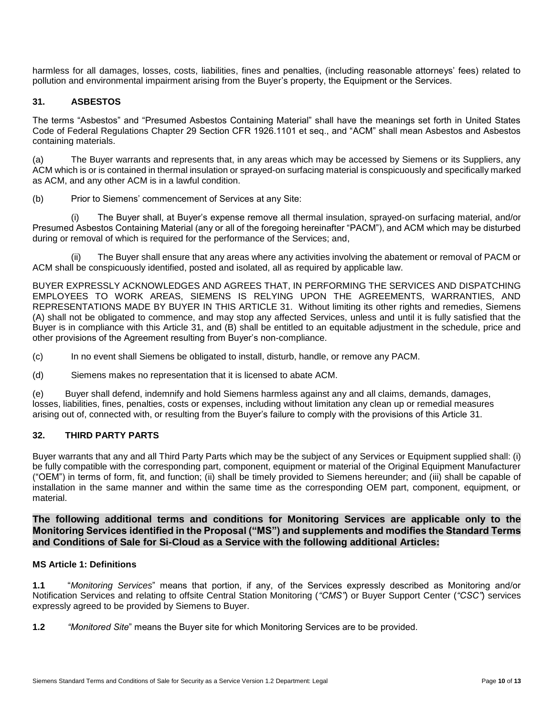harmless for all damages, losses, costs, liabilities, fines and penalties, (including reasonable attorneys' fees) related to pollution and environmental impairment arising from the Buyer's property, the Equipment or the Services.

# **31. ASBESTOS**

The terms "Asbestos" and "Presumed Asbestos Containing Material" shall have the meanings set forth in United States Code of Federal Regulations Chapter 29 Section CFR 1926.1101 et seq., and "ACM" shall mean Asbestos and Asbestos containing materials.

(a) The Buyer warrants and represents that, in any areas which may be accessed by Siemens or its Suppliers, any ACM which is or is contained in thermal insulation or sprayed-on surfacing material is conspicuously and specifically marked as ACM, and any other ACM is in a lawful condition.

(b) Prior to Siemens' commencement of Services at any Site:

(i) The Buyer shall, at Buyer's expense remove all thermal insulation, sprayed-on surfacing material, and/or Presumed Asbestos Containing Material (any or all of the foregoing hereinafter "PACM"), and ACM which may be disturbed during or removal of which is required for the performance of the Services; and,

(ii) The Buyer shall ensure that any areas where any activities involving the abatement or removal of PACM or ACM shall be conspicuously identified, posted and isolated, all as required by applicable law.

BUYER EXPRESSLY ACKNOWLEDGES AND AGREES THAT, IN PERFORMING THE SERVICES AND DISPATCHING EMPLOYEES TO WORK AREAS, SIEMENS IS RELYING UPON THE AGREEMENTS, WARRANTIES, AND REPRESENTATIONS MADE BY BUYER IN THIS ARTICLE 31. Without limiting its other rights and remedies, Siemens (A) shall not be obligated to commence, and may stop any affected Services, unless and until it is fully satisfied that the Buyer is in compliance with this Article 31, and (B) shall be entitled to an equitable adjustment in the schedule, price and other provisions of the Agreement resulting from Buyer's non-compliance.

(c) In no event shall Siemens be obligated to install, disturb, handle, or remove any PACM.

(d) Siemens makes no representation that it is licensed to abate ACM.

(e) Buyer shall defend, indemnify and hold Siemens harmless against any and all claims, demands, damages, losses, liabilities, fines, penalties, costs or expenses, including without limitation any clean up or remedial measures arising out of, connected with, or resulting from the Buyer's failure to comply with the provisions of this Article 31.

# **32. THIRD PARTY PARTS**

Buyer warrants that any and all Third Party Parts which may be the subject of any Services or Equipment supplied shall: (i) be fully compatible with the corresponding part, component, equipment or material of the Original Equipment Manufacturer ("OEM") in terms of form, fit, and function; (ii) shall be timely provided to Siemens hereunder; and (iii) shall be capable of installation in the same manner and within the same time as the corresponding OEM part, component, equipment, or material.

**The following additional terms and conditions for Monitoring Services are applicable only to the Monitoring Services identified in the Proposal ("MS") and supplements and modifies the Standard Terms and Conditions of Sale for Si-Cloud as a Service with the following additional Articles:**

#### **MS Article 1: Definitions**

**1.1** "*Monitoring Services*" means that portion, if any, of the Services expressly described as Monitoring and/or Notification Services and relating to offsite Central Station Monitoring (*"CMS"*) or Buyer Support Center (*"CSC"*) services expressly agreed to be provided by Siemens to Buyer.

**1.2** *"Monitored Site*" means the Buyer site for which Monitoring Services are to be provided.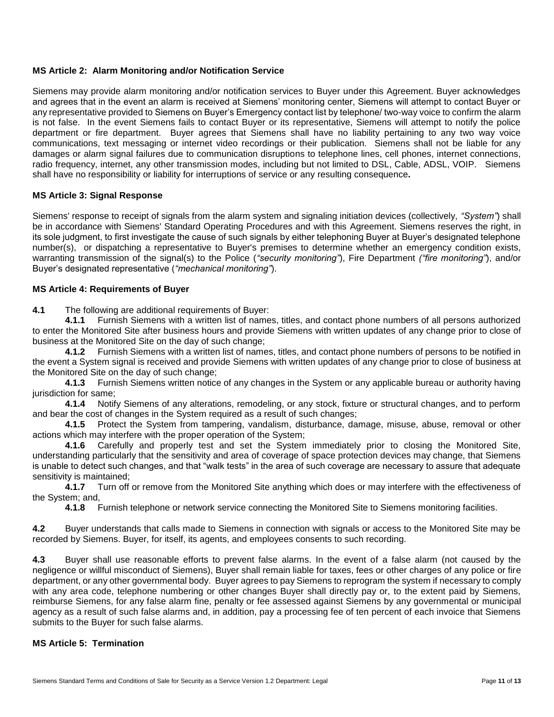### **MS Article 2: Alarm Monitoring and/or Notification Service**

Siemens may provide alarm monitoring and/or notification services to Buyer under this Agreement. Buyer acknowledges and agrees that in the event an alarm is received at Siemens' monitoring center, Siemens will attempt to contact Buyer or any representative provided to Siemens on Buyer's Emergency contact list by telephone/ two-way voice to confirm the alarm is not false. In the event Siemens fails to contact Buyer or its representative, Siemens will attempt to notify the police department or fire department. Buyer agrees that Siemens shall have no liability pertaining to any two way voice communications, text messaging or internet video recordings or their publication. Siemens shall not be liable for any damages or alarm signal failures due to communication disruptions to telephone lines, cell phones, internet connections, radio frequency, internet, any other transmission modes, including but not limited to DSL, Cable, ADSL, VOIP. Siemens shall have no responsibility or liability for interruptions of service or any resulting consequence**.**

### **MS Article 3: Signal Response**

Siemens' response to receipt of signals from the alarm system and signaling initiation devices (collectively, *"System"*) shall be in accordance with Siemens' Standard Operating Procedures and with this Agreement. Siemens reserves the right, in its sole judgment, to first investigate the cause of such signals by either telephoning Buyer at Buyer's designated telephone number(s), or dispatching a representative to Buyer's premises to determine whether an emergency condition exists, warranting transmission of the signal(s) to the Police (*"security monitoring"*), Fire Department *("fire monitoring"*), and/or Buyer's designated representative (*"mechanical monitoring"*).

### **MS Article 4: Requirements of Buyer**

**4.1** The following are additional requirements of Buyer:

**4.1.1** Furnish Siemens with a written list of names, titles, and contact phone numbers of all persons authorized to enter the Monitored Site after business hours and provide Siemens with written updates of any change prior to close of business at the Monitored Site on the day of such change;

**4.1.2** Furnish Siemens with a written list of names, titles, and contact phone numbers of persons to be notified in the event a System signal is received and provide Siemens with written updates of any change prior to close of business at the Monitored Site on the day of such change;

**4.1.3** Furnish Siemens written notice of any changes in the System or any applicable bureau or authority having jurisdiction for same;

**4.1.4** Notify Siemens of any alterations, remodeling, or any stock, fixture or structural changes, and to perform and bear the cost of changes in the System required as a result of such changes;

**4.1.5** Protect the System from tampering, vandalism, disturbance, damage, misuse, abuse, removal or other actions which may interfere with the proper operation of the System;

**4.1.6** Carefully and properly test and set the System immediately prior to closing the Monitored Site, understanding particularly that the sensitivity and area of coverage of space protection devices may change, that Siemens is unable to detect such changes, and that "walk tests" in the area of such coverage are necessary to assure that adequate sensitivity is maintained;

**4.1.7** Turn off or remove from the Monitored Site anything which does or may interfere with the effectiveness of the System; and,

**4.1.8** Furnish telephone or network service connecting the Monitored Site to Siemens monitoring facilities.

**4.2** Buyer understands that calls made to Siemens in connection with signals or access to the Monitored Site may be recorded by Siemens. Buyer, for itself, its agents, and employees consents to such recording.

**4.3** Buyer shall use reasonable efforts to prevent false alarms. In the event of a false alarm (not caused by the negligence or willful misconduct of Siemens), Buyer shall remain liable for taxes, fees or other charges of any police or fire department, or any other governmental body. Buyer agrees to pay Siemens to reprogram the system if necessary to comply with any area code, telephone numbering or other changes Buyer shall directly pay or, to the extent paid by Siemens, reimburse Siemens, for any false alarm fine, penalty or fee assessed against Siemens by any governmental or municipal agency as a result of such false alarms and, in addition, pay a processing fee of ten percent of each invoice that Siemens submits to the Buyer for such false alarms.

#### **MS Article 5: Termination**